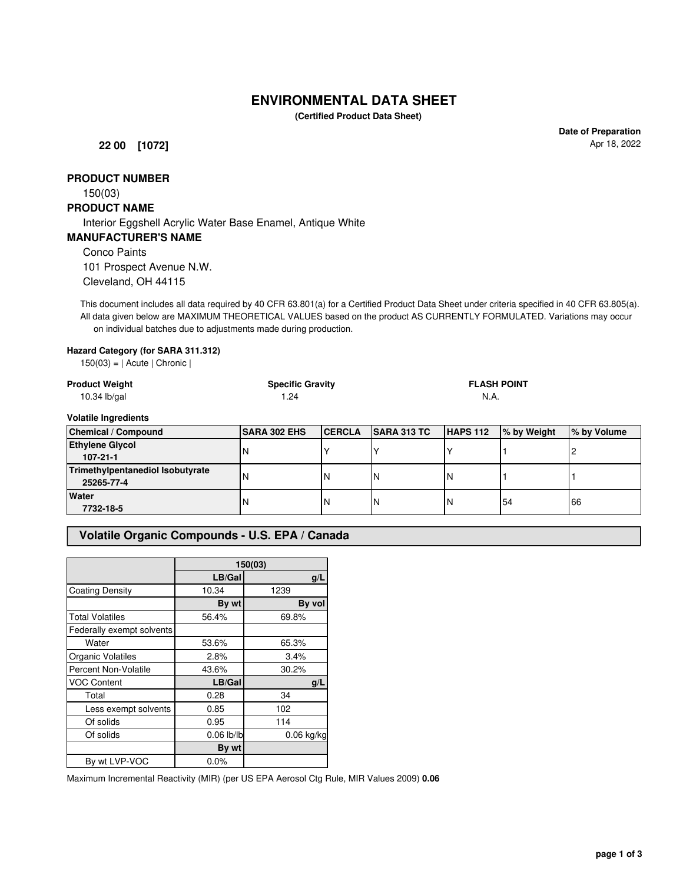# **ENVIRONMENTAL DATA SHEET**

**(Certified Product Data Sheet)**

**22 00 [1072]**

**Date of Preparation** Apr 18, 2022

### **PRODUCT NUMBER**

150(03)

#### **PRODUCT NAME**

Interior Eggshell Acrylic Water Base Enamel, Antique White

#### **MANUFACTURER'S NAME**

Conco Paints

101 Prospect Avenue N.W. Cleveland, OH 44115

This document includes all data required by 40 CFR 63.801(a) for a Certified Product Data Sheet under criteria specified in 40 CFR 63.805(a). All data given below are MAXIMUM THEORETICAL VALUES based on the product AS CURRENTLY FORMULATED. Variations may occur on individual batches due to adjustments made during production.

#### **Hazard Category (for SARA 311.312)**

 $150(03) = |$  Acute | Chronic |

| <b>Product Weight</b><br>$10.34$ lb/gal        | <b>Specific Gravity</b><br>1.24 |               |                    | <b>FLASH POINT</b><br>N.A. |             |             |
|------------------------------------------------|---------------------------------|---------------|--------------------|----------------------------|-------------|-------------|
| <b>Volatile Ingredients</b>                    |                                 |               |                    |                            |             |             |
| <b>Chemical / Compound</b>                     | <b>ISARA 302 EHS</b>            | <b>CERCLA</b> | <b>SARA 313 TC</b> | HAPS 112                   | % by Weight | % by Volume |
| <b>Ethylene Glycol</b><br>$107 - 21 - 1$       | N                               |               |                    |                            |             |             |
| Trimethylpentanediol Isobutyrate<br>25265-77-4 | N                               | N             | <b>N</b>           | IΝ                         |             |             |
| <b>Water</b><br>7732-18-5                      | N                               | N             | <b>N</b>           | IN                         | 54          | 66          |

#### **Volatile Organic Compounds - U.S. EPA / Canada**

|                             | 150(03)      |              |  |
|-----------------------------|--------------|--------------|--|
|                             | LB/Gal       | q/L          |  |
| <b>Coating Density</b>      | 10.34        | 1239         |  |
|                             | By wt        | By vol       |  |
| <b>Total Volatiles</b>      | 56.4%        | 69.8%        |  |
| Federally exempt solvents   |              |              |  |
| Water                       | 53.6%        | 65.3%        |  |
| Organic Volatiles           | 2.8%         | 3.4%         |  |
| <b>Percent Non-Volatile</b> | 43.6%        | 30.2%        |  |
| <b>VOC Content</b>          | LB/Gal       | q/L          |  |
| Total                       | 0.28         | 34           |  |
| Less exempt solvents        | 0.85         | 102          |  |
| Of solids                   | 0.95         | 114          |  |
| Of solids                   | $0.06$ lb/lb | $0.06$ kg/kg |  |
|                             | By wt        |              |  |
| By wt LVP-VOC               | 0.0%         |              |  |

Maximum Incremental Reactivity (MIR) (per US EPA Aerosol Ctg Rule, MIR Values 2009) **0.06**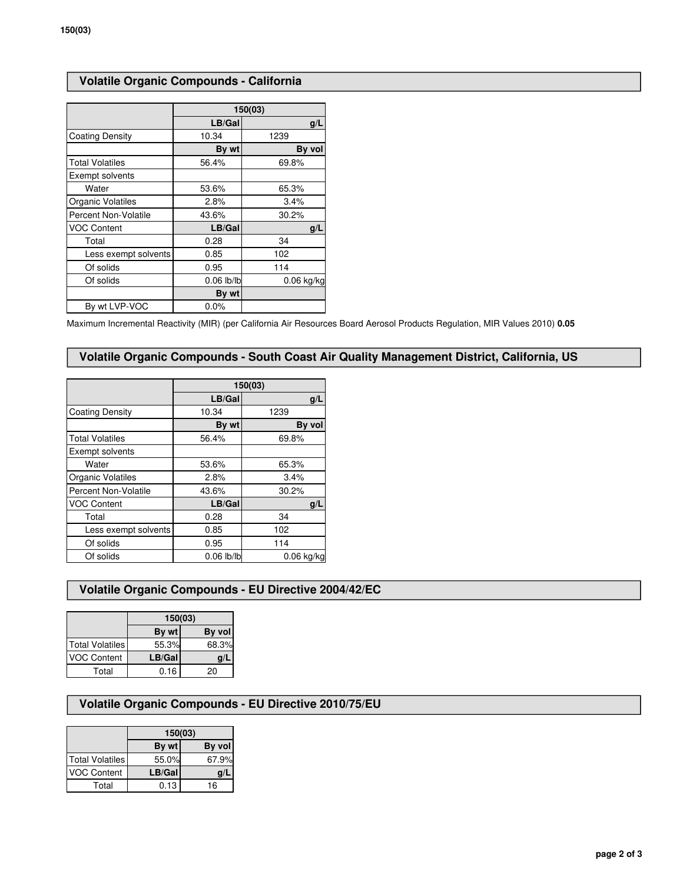## **Volatile Organic Compounds - California**

|                          | 150(03)      |              |  |
|--------------------------|--------------|--------------|--|
|                          | LB/Gal       | g/L          |  |
| <b>Coating Density</b>   | 10.34        | 1239         |  |
|                          | By wt        | By vol       |  |
| <b>Total Volatiles</b>   | 56.4%        | 69.8%        |  |
| Exempt solvents          |              |              |  |
| Water                    | 53.6%        | 65.3%        |  |
| <b>Organic Volatiles</b> | 2.8%         | 3.4%         |  |
| Percent Non-Volatile     | 43.6%        | 30.2%        |  |
| <b>VOC Content</b>       | LB/Gal       | g/L          |  |
| Total                    | 0.28         | 34           |  |
| Less exempt solvents     | 0.85         | 102          |  |
| Of solids                | 0.95         | 114          |  |
| Of solids                | $0.06$ lb/lb | $0.06$ kg/kg |  |
|                          | By wt        |              |  |
| By wt LVP-VOC            | $0.0\%$      |              |  |

Maximum Incremental Reactivity (MIR) (per California Air Resources Board Aerosol Products Regulation, MIR Values 2010) **0.05**

#### **Volatile Organic Compounds - South Coast Air Quality Management District, California, US**

|                        | 150(03)      |              |  |
|------------------------|--------------|--------------|--|
|                        | LB/Gal       | q/L          |  |
| <b>Coating Density</b> | 10.34        | 1239         |  |
|                        | By wt        | By vol       |  |
| <b>Total Volatiles</b> | 56.4%        | 69.8%        |  |
| Exempt solvents        |              |              |  |
| Water                  | 53.6%        | 65.3%        |  |
| Organic Volatiles      | 2.8%         | 3.4%         |  |
| Percent Non-Volatile   | 43.6%        | 30.2%        |  |
| <b>VOC Content</b>     | LB/Gal       | g/L          |  |
| Total                  | 0.28         | 34           |  |
| Less exempt solvents   | 0.85         | 102          |  |
| Of solids              | 0.95         | 114          |  |
| Of solids              | $0.06$ lb/lb | $0.06$ kg/kg |  |

#### **Volatile Organic Compounds - EU Directive 2004/42/EC**

|                    | 150(03) |        |  |
|--------------------|---------|--------|--|
|                    | By wt   | By vol |  |
| Total Volatiles    | 55.3%   | 68.3%  |  |
| <b>VOC Content</b> | LB/Gal  | q/     |  |
| Total              | 0.16    | 20     |  |

### **Volatile Organic Compounds - EU Directive 2010/75/EU**

|                        | 150(03) |        |  |
|------------------------|---------|--------|--|
|                        | By wt   | By vol |  |
| <b>Total Volatiles</b> | 55.0%   | 67.9%  |  |
| <b>VOC Content</b>     | LB/Gal  | g/l    |  |
| Total                  | 0.13    | 16     |  |